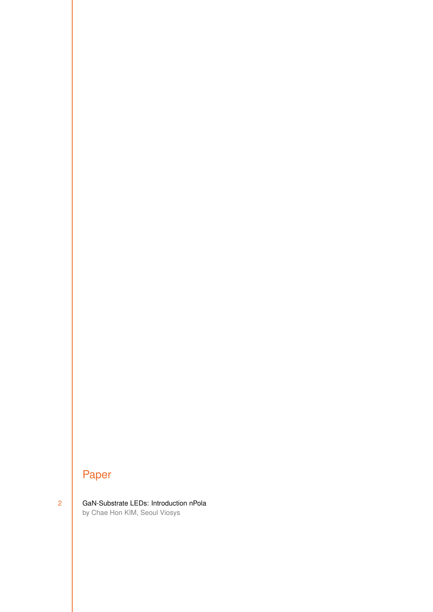## Paper

2 [GaN-Substrate LEDs: Introduction nPola](#page-1-0) by Chae Hon KIM, Seoul Viosys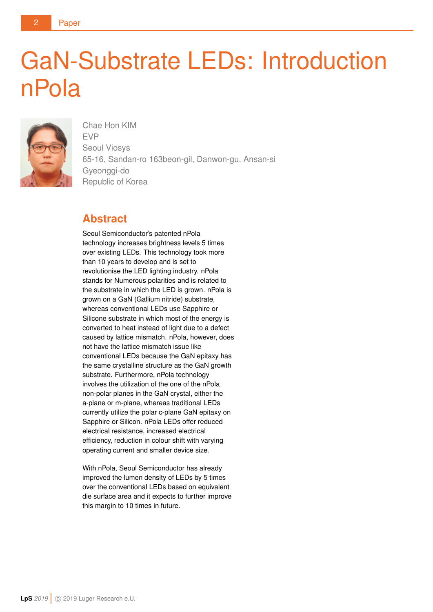# <span id="page-1-0"></span>GaN-Substrate LEDs: Introduction nPola



Chae Hon KIM EVP Seoul Viosys 65-16, Sandan-ro 163beon-gil, Danwon-gu, Ansan-si Gyeonggi-do Republic of Korea

#### **Abstract**

Seoul Semiconductor's patented nPola technology increases brightness levels 5 times over existing LEDs. This technology took more than 10 years to develop and is set to revolutionise the LED lighting industry. nPola stands for Numerous polarities and is related to the substrate in which the LED is grown. nPola is grown on a GaN (Gallium nitride) substrate, whereas conventional LEDs use Sapphire or Silicone substrate in which most of the energy is converted to heat instead of light due to a defect caused by lattice mismatch. nPola, however, does not have the lattice mismatch issue like conventional LEDs because the GaN epitaxy has the same crystalline structure as the GaN growth substrate. Furthermore, nPola technology involves the utilization of the one of the nPola non-polar planes in the GaN crystal, either the a-plane or m-plane, whereas traditional LEDs currently utilize the polar c-plane GaN epitaxy on Sapphire or Silicon. nPola LEDs offer reduced electrical resistance, increased electrical efficiency, reduction in colour shift with varying operating current and smaller device size.

With nPola, Seoul Semiconductor has already improved the lumen density of LEDs by 5 times over the conventional LEDs based on equivalent die surface area and it expects to further improve this margin to 10 times in future.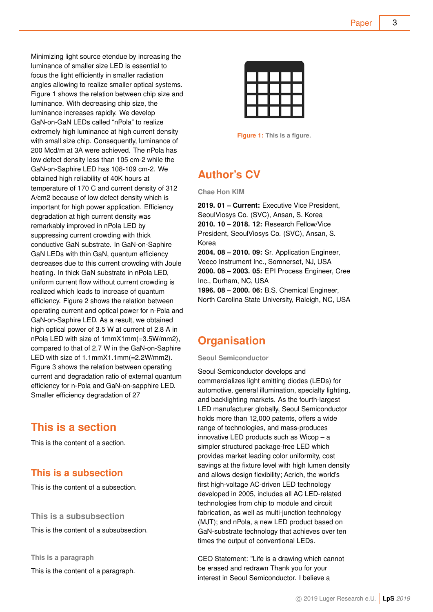Paper 3

Minimizing light source etendue by increasing the luminance of smaller size LED is essential to focus the light efficiently in smaller radiation angles allowing to realize smaller optical systems. Figure 1 shows the relation between chip size and luminance. With decreasing chip size, the luminance increases rapidly. We develop GaN-on-GaN LEDs called "nPola" to realize extremely high luminance at high current density with small size chip. Consequently, luminance of 200 Mcd/m at 3A were achieved. The nPola has low defect density less than 105 cm-2 while the GaN-on-Saphire LED has 108-109 cm-2. We obtained high reliability of 40K hours at temperature of 170 C and current density of 312 A/cm2 because of low defect density which is important for high power application. Efficiency degradation at high current density was remarkably improved in nPola LED by suppressing current crowding with thick conductive GaN substrate. In GaN-on-Saphire GaN LEDs with thin GaN, quantum efficiency decreases due to this current crowding with Joule heating. In thick GaN substrate in nPola LED, uniform current flow without current crowding is realized which leads to increase of quantum efficiency. Figure 2 shows the relation between operating current and optical power for n-Pola and GaN-on-Saphire LED. As a result, we obtained high optical power of 3.5 W at current of 2.8 A in nPola LED with size of 1mmX1mm(=3.5W/mm2), compared to that of 2.7 W in the GaN-on-Saphire LED with size of 1.1mmX1.1mm(=2.2W/mm2). Figure 3 shows the relation between operating current and degradation ratio of external quantum efficiency for n-Pola and GaN-on-sapphire LED. Smaller efficiency degradation of 27

#### **This is a section**

This is the content of a section.

#### **This is a subsection**

This is the content of a subsection.

**This is a subsubsection**

This is the content of a subsubsection.

**This is a paragraph** This is the content of a paragraph.



**Figure 1: This is a figure.**

## **Author's CV**

**Chae Hon KIM**

**2019. 01 – Current:** Executive Vice President, SeoulViosys Co. (SVC), Ansan, S. Korea **2010. 10 – 2018. 12:** Research Fellow/Vice President, SeoulViosys Co. (SVC), Ansan, S. Korea

**2004. 08 – 2010. 09:** Sr. Application Engineer, Veeco Instrument Inc., Somnerset, NJ, USA **2000. 08 – 2003. 05:** EPI Process Engineer, Cree Inc., Durham, NC, USA **1996. 08 – 2000. 06:** B.S. Chemical Engineer,

North Carolina State University, Raleigh, NC, USA

### **Organisation**

**Seoul Semiconductor**

Seoul Semiconductor develops and commercializes light emitting diodes (LEDs) for automotive, general illumination, specialty lighting, and backlighting markets. As the fourth-largest LED manufacturer globally, Seoul Semiconductor holds more than 12,000 patents, offers a wide range of technologies, and mass-produces innovative LED products such as Wicop – a simpler structured package-free LED which provides market leading color uniformity, cost savings at the fixture level with high lumen density and allows design flexibility; Acrich, the world's first high-voltage AC-driven LED technology developed in 2005, includes all AC LED-related technologies from chip to module and circuit fabrication, as well as multi-junction technology (MJT); and nPola, a new LED product based on GaN-substrate technology that achieves over ten times the output of conventional LEDs.

CEO Statement: "Life is a drawing which cannot be erased and redrawn Thank you for your interest in Seoul Semiconductor. I believe a